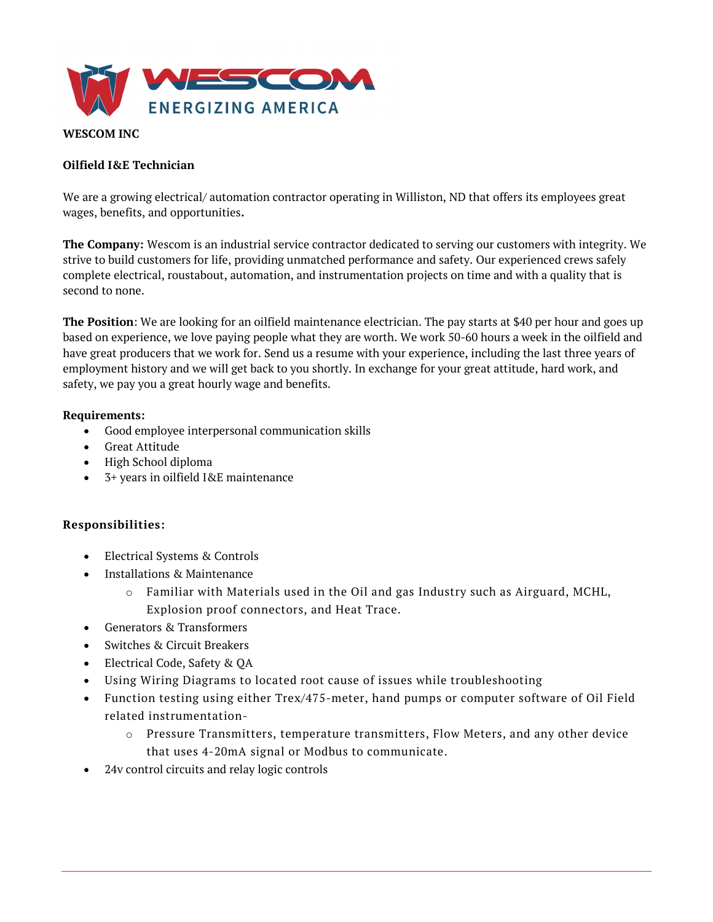

## WESCOM INC

#### Oilfield I&E Technician

We are a growing electrical/ automation contractor operating in Williston, ND that offers its employees great wages, benefits, and opportunities.

The Company: Wescom is an industrial service contractor dedicated to serving our customers with integrity. We strive to build customers for life, providing unmatched performance and safety. Our experienced crews safely complete electrical, roustabout, automation, and instrumentation projects on time and with a quality that is second to none.

The Position: We are looking for an oilfield maintenance electrician. The pay starts at \$40 per hour and goes up based on experience, we love paying people what they are worth. We work 50-60 hours a week in the oilfield and have great producers that we work for. Send us a resume with your experience, including the last three years of employment history and we will get back to you shortly. In exchange for your great attitude, hard work, and safety, we pay you a great hourly wage and benefits.

#### Requirements:

- Good employee interpersonal communication skills
- Great Attitude
- High School diploma
- 3+ years in oilfield I&E maintenance

### Responsibilities:

- Electrical Systems & Controls
- Installations & Maintenance
	- $\circ$  Familiar with Materials used in the Oil and gas Industry such as Airguard, MCHL, Explosion proof connectors, and Heat Trace.
- Generators & Transformers
- Switches & Circuit Breakers
- Electrical Code, Safety & QA
- Using Wiring Diagrams to located root cause of issues while troubleshooting
- Function testing using either Trex/475-meter, hand pumps or computer software of Oil Field related instrumentation
	- o Pressure Transmitters, temperature transmitters, Flow Meters, and any other device that uses 4-20mA signal or Modbus to communicate.
- 24v control circuits and relay logic controls